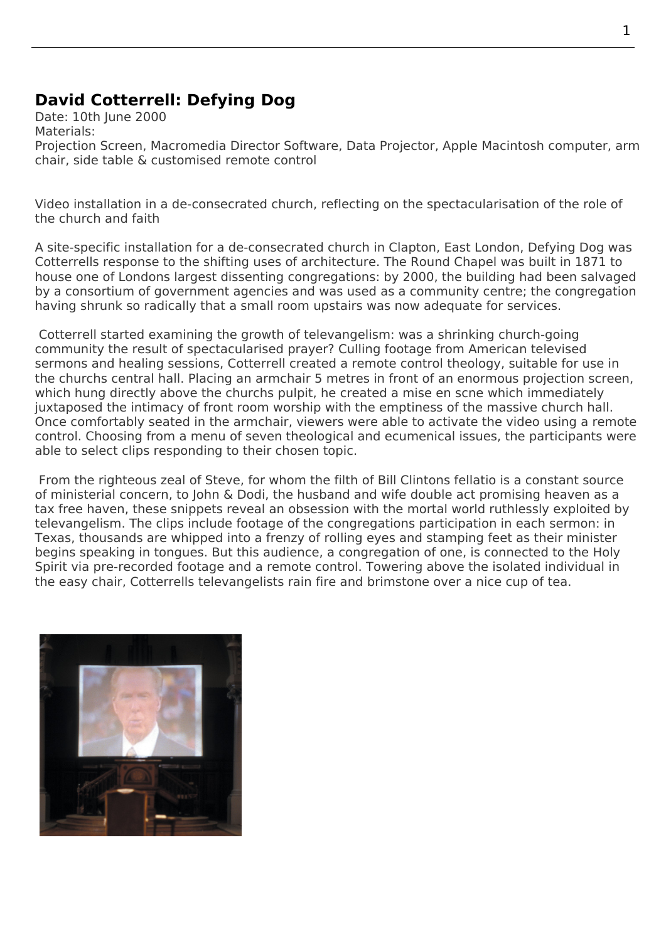## **David Cotterrell: Defying Dog**

Date: 10th June 2000 Materials: Projection Screen, Macromedia Director Software, Data Projector, Apple Macintosh computer, arm chair, side table & customised remote control

Video installation in a de-consecrated church, reflecting on the spectacularisation of the role of the church and faith

A site-specific installation for a de-consecrated church in Clapton, East London, Defying Dog was Cotterrells response to the shifting uses of architecture. The Round Chapel was built in 1871 to house one of Londons largest dissenting congregations: by 2000, the building had been salvaged by a consortium of government agencies and was used as a community centre; the congregation having shrunk so radically that a small room upstairs was now adequate for services.

 Cotterrell started examining the growth of televangelism: was a shrinking church-going community the result of spectacularised prayer? Culling footage from American televised sermons and healing sessions, Cotterrell created a remote control theology, suitable for use in the churchs central hall. Placing an armchair 5 metres in front of an enormous projection screen, which hung directly above the churchs pulpit, he created a mise en scne which immediately juxtaposed the intimacy of front room worship with the emptiness of the massive church hall. Once comfortably seated in the armchair, viewers were able to activate the video using a remote control. Choosing from a menu of seven theological and ecumenical issues, the participants were able to select clips responding to their chosen topic.

 From the righteous zeal of Steve, for whom the filth of Bill Clintons fellatio is a constant source of ministerial concern, to John & Dodi, the husband and wife double act promising heaven as a tax free haven, these snippets reveal an obsession with the mortal world ruthlessly exploited by televangelism. The clips include footage of the congregations participation in each sermon: in Texas, thousands are whipped into a frenzy of rolling eyes and stamping feet as their minister begins speaking in tongues. But this audience, a congregation of one, is connected to the Holy Spirit via pre-recorded footage and a remote control. Towering above the isolated individual in the easy chair, Cotterrells televangelists rain fire and brimstone over a nice cup of tea.